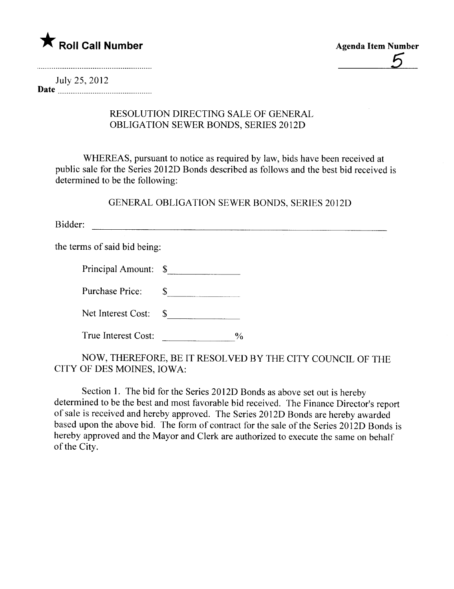

July 25, 2012 Date  $\frac{m}{2}$   $\frac{m}{2}$   $\frac{m}{2}$   $\frac{m}{2}$   $\frac{m}{2}$   $\frac{m}{2}$   $\frac{m}{2}$   $\frac{m}{2}$   $\frac{m}{2}$   $\frac{m}{2}$   $\frac{m}{2}$   $\frac{m}{2}$   $\frac{m}{2}$   $\frac{m}{2}$   $\frac{m}{2}$   $\frac{m}{2}$   $\frac{m}{2}$   $\frac{m}{2}$   $\frac{m}{2}$   $\frac{m}{2}$   $\frac{m}{2}$   $\frac{m}{$ 

## RESOLUTION DIRECTING SALE OF GENERAL OBLIGATION SEWER BONDS, SERIES 2012D

WHEREAS, pursuant to notice as required by law, bids have been received at public sale for the Series 20 12D Bonds described as follows and the best bid received is determined to be the following:

GENERAL OBLIGATION SEWER BONDS, SERIES 2012D

Bidder:

the terms of said bid being:

Principal Amount: \$

Purchase Price:  $\qquad \qquad \text{\_}$ 

Net Interest Cost: \$

True Interest Cost:  $\%$ 

NOW, THEREFORE, BE IT RESOLVED BY THE CITY COUNCIL OF THE CITY OF DES MOINES, IOWA:

Section 1. The bid for the Series 2012D Bonds as above set out is hereby determined to be the best and most favorable bid received. The Finance Director's report of sale is received and hereby approved. The Series 20 12D Bonds are hereby awarded based upon the above bid. The form of contract for the sale of the Series 20 12D Bonds is hereby approved and the Mayor and Clerk are authorized to execute the same on behalf of the City.